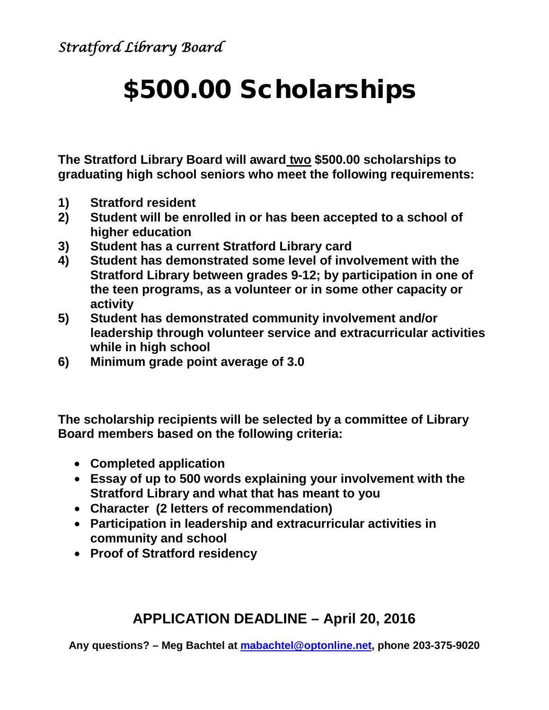# \$500.00 Scholarships

**The Stratford Library Board will award two \$500.00 scholarships to graduating high school seniors who meet the following requirements:** 

- **1) Stratford resident**
- **2) Student will be enrolled in or has been accepted to a school of higher education**
- **3) Student has a current Stratford Library card**
- **4) Student has demonstrated some level of involvement with the Stratford Library between grades 9-12; by participation in one of the teen programs, as a volunteer or in some other capacity or activity**
- **5) Student has demonstrated community involvement and/or leadership through volunteer service and extracurricular activities while in high school**
- **6) Minimum grade point average of 3.0**

**The scholarship recipients will be selected by a committee of Library Board members based on the following criteria:**

- **Completed application**
- **Essay of up to 500 words explaining your involvement with the Stratford Library and what that has meant to you**
- **Character (2 letters of recommendation)**
- **Participation in leadership and extracurricular activities in community and school**
- **Proof of Stratford residency**

### **APPLICATION DEADLINE – April 20, 2016**

**Any questions? – Meg Bachtel at [mabachtel@optonline.net,](mailto:mabachtel@optonline.net) phone 203-375-9020**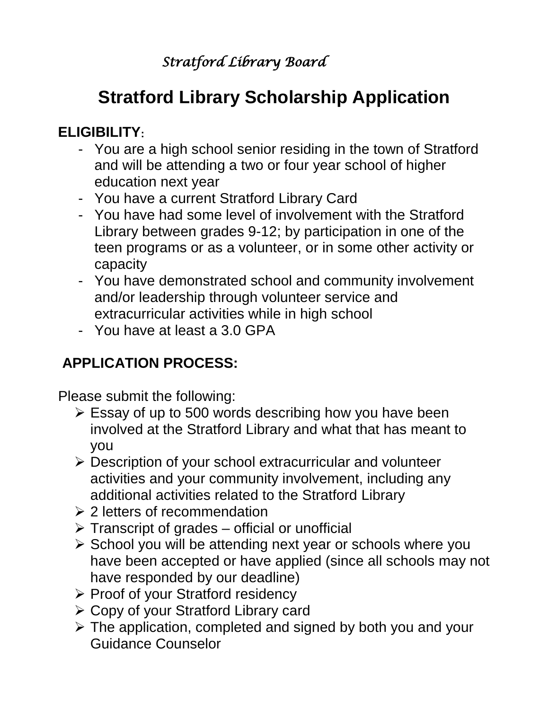## *Stratford Library Board*

# **Stratford Library Scholarship Application**

### **ELIGIBILITY:**

- You are a high school senior residing in the town of Stratford and will be attending a two or four year school of higher education next year
- You have a current Stratford Library Card
- You have had some level of involvement with the Stratford Library between grades 9-12; by participation in one of the teen programs or as a volunteer, or in some other activity or capacity
- You have demonstrated school and community involvement and/or leadership through volunteer service and extracurricular activities while in high school
- You have at least a 3.0 GPA

## **APPLICATION PROCESS:**

Please submit the following:

- $\triangleright$  Essay of up to 500 words describing how you have been involved at the Stratford Library and what that has meant to you
- Description of your school extracurricular and volunteer activities and your community involvement, including any additional activities related to the Stratford Library
- **≥ 2 letters of recommendation**
- $\triangleright$  Transcript of grades official or unofficial
- $\triangleright$  School you will be attending next year or schools where you have been accepted or have applied (since all schools may not have responded by our deadline)
- $\triangleright$  Proof of your Stratford residency
- Copy of your Stratford Library card
- $\triangleright$  The application, completed and signed by both you and your Guidance Counselor